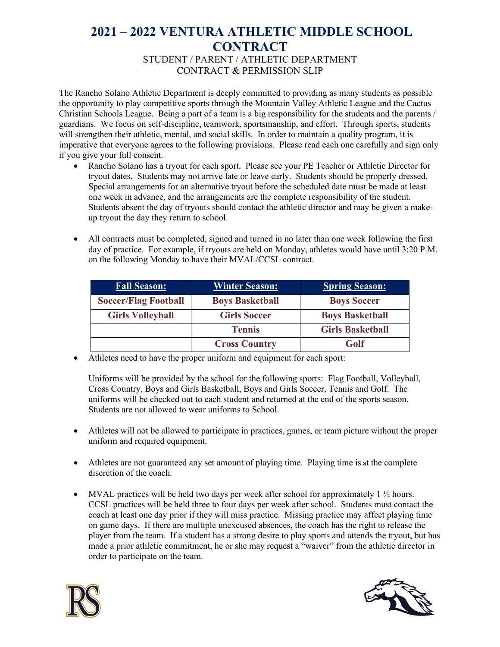## **2021 – 2022 VENTURA ATHLETIC MIDDLE SCHOOL CONTRACT**  STUDENT / PARENT / ATHLETIC DEPARTMENT CONTRACT & PERMISSION SLIP

The Rancho Solano Athletic Department is deeply committed to providing as many students as possible the opportunity to play competitive sports through the Mountain Valley Athletic League and the Cactus Christian Schools League. Being a part of a team is a big responsibility for the students and the parents / guardians. We focus on self-discipline, teamwork, sportsmanship, and effort. Through sports, students will strengthen their athletic, mental, and social skills. In order to maintain a quality program, it is imperative that everyone agrees to the following provisions. Please read each one carefully and sign only if you give your full consent.

- Rancho Solano has a tryout for each sport. Please see your PE Teacher or Athletic Director for tryout dates. Students may not arrive late or leave early. Students should be properly dressed. Special arrangements for an alternative tryout before the scheduled date must be made at least one week in advance, and the arrangements are the complete responsibility of the student. Students absent the day of tryouts should contact the athletic director and may be given a makeup tryout the day they return to school.
- All contracts must be completed, signed and turned in no later than one week following the first day of practice. For example, if tryouts are held on Monday, athletes would have until 3:20 P.M. on the following Monday to have their MVAL/CCSL contract.

| <b>Fall Season:</b>         | <b>Winter Season:</b>  | <b>Spring Season:</b>   |
|-----------------------------|------------------------|-------------------------|
| <b>Soccer/Flag Football</b> | <b>Boys Basketball</b> | <b>Boys Soccer</b>      |
| <b>Girls Volleyball</b>     | <b>Girls Soccer</b>    | <b>Boys Basketball</b>  |
|                             | <b>Tennis</b>          | <b>Girls Basketball</b> |
|                             | <b>Cross Country</b>   | Golf                    |

• Athletes need to have the proper uniform and equipment for each sport:

Uniforms will be provided by the school for the following sports: Flag Football, Volleyball, Cross Country, Boys and Girls Basketball, Boys and Girls Soccer, Tennis and Golf. The uniforms will be checked out to each student and returned at the end of the sports season. Students are not allowed to wear uniforms to School.

- Athletes will not be allowed to participate in practices, games, or team picture without the proper uniform and required equipment.
- Athletes are not guaranteed any set amount of playing time. Playing time is at the complete discretion of the coach.
- MVAL practices will be held two days per week after school for approximately  $1 \frac{1}{2}$  hours. CCSL practices will be held three to four days per week after school. Students must contact the coach at least one day prior if they will miss practice. Missing practice may affect playing time on game days. If there are multiple unexcused absences, the coach has the right to release the player from the team. If a student has a strong desire to play sports and attends the tryout, but has made a prior athletic commitment, he or she may request a "waiver" from the athletic director in order to participate on the team.



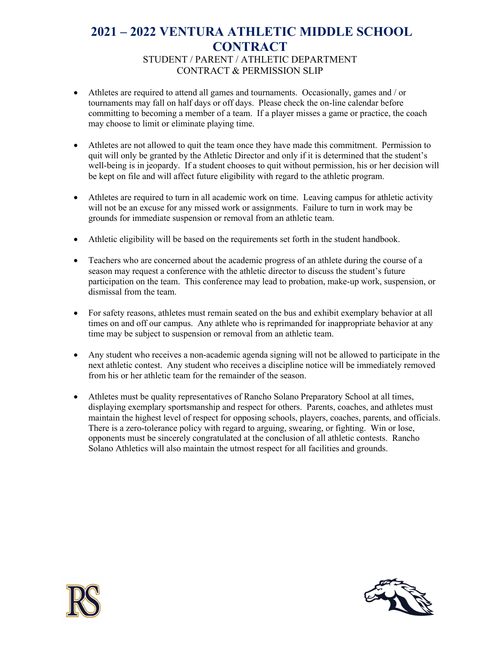## **2021 – 2022 VENTURA ATHLETIC MIDDLE SCHOOL CONTRACT**  STUDENT / PARENT / ATHLETIC DEPARTMENT CONTRACT & PERMISSION SLIP

- Athletes are required to attend all games and tournaments. Occasionally, games and / or tournaments may fall on half days or off days. Please check the on-line calendar before committing to becoming a member of a team. If a player misses a game or practice, the coach may choose to limit or eliminate playing time.
- Athletes are not allowed to quit the team once they have made this commitment. Permission to quit will only be granted by the Athletic Director and only if it is determined that the student's well-being is in jeopardy. If a student chooses to quit without permission, his or her decision will be kept on file and will affect future eligibility with regard to the athletic program.
- Athletes are required to turn in all academic work on time. Leaving campus for athletic activity will not be an excuse for any missed work or assignments. Failure to turn in work may be grounds for immediate suspension or removal from an athletic team.
- Athletic eligibility will be based on the requirements set forth in the student handbook.
- Teachers who are concerned about the academic progress of an athlete during the course of a season may request a conference with the athletic director to discuss the student's future participation on the team. This conference may lead to probation, make-up work, suspension, or dismissal from the team.
- For safety reasons, athletes must remain seated on the bus and exhibit exemplary behavior at all times on and off our campus. Any athlete who is reprimanded for inappropriate behavior at any time may be subject to suspension or removal from an athletic team.
- Any student who receives a non-academic agenda signing will not be allowed to participate in the next athletic contest. Any student who receives a discipline notice will be immediately removed from his or her athletic team for the remainder of the season.
- Athletes must be quality representatives of Rancho Solano Preparatory School at all times, displaying exemplary sportsmanship and respect for others. Parents, coaches, and athletes must maintain the highest level of respect for opposing schools, players, coaches, parents, and officials. There is a zero-tolerance policy with regard to arguing, swearing, or fighting. Win or lose, opponents must be sincerely congratulated at the conclusion of all athletic contests. Rancho Solano Athletics will also maintain the utmost respect for all facilities and grounds.